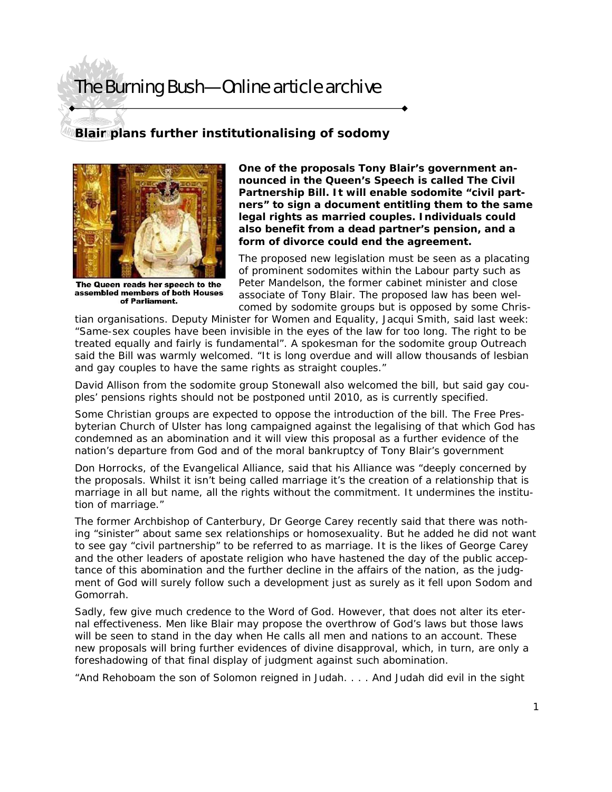## The Burning Bush—Online article archive

## **Blair plans further institutionalising of sodomy**



The Queen reads her speech to the assembled members of both Houses of Parliament.

**One of the proposals Tony Blair's government announced in the Queen's Speech is called The Civil Partnership Bill. It will enable sodomite "civil partners" to sign a document entitling them to the same legal rights as married couples. Individuals could also benefit from a dead partner's pension, and a form of divorce could end the agreement.** 

The proposed new legislation must be seen as a placating of prominent sodomites within the Labour party such as Peter Mandelson, the former cabinet minister and close associate of Tony Blair. The proposed law has been welcomed by sodomite groups but is opposed by some Chris-

tian organisations. Deputy Minister for Women and Equality, Jacqui Smith, said last week: "Same-sex couples have been invisible in the eyes of the law for too long. The right to be treated equally and fairly is fundamental". A spokesman for the sodomite group Outreach said the Bill was warmly welcomed. "It is long overdue and will allow thousands of lesbian and gay couples to have the same rights as straight couples."

David Allison from the sodomite group Stonewall also welcomed the bill, but said gay couples' pensions rights should not be postponed until 2010, as is currently specified.

Some Christian groups are expected to oppose the introduction of the bill. The Free Presbyterian Church of Ulster has long campaigned against the legalising of that which God has condemned as an abomination and it will view this proposal as a further evidence of the nation's departure from God and of the moral bankruptcy of Tony Blair's government

Don Horrocks, of the Evangelical Alliance, said that his Alliance was "deeply concerned by the proposals. Whilst it isn't being called marriage it's the creation of a relationship that is marriage in all but name, all the rights without the commitment. It undermines the institution of marriage."

The former Archbishop of Canterbury, Dr George Carey recently said that there was nothing "sinister" about same sex relationships or homosexuality. But he added he did not want to see gay "civil partnership" to be referred to as marriage. It is the likes of George Carey and the other leaders of apostate religion who have hastened the day of the public acceptance of this abomination and the further decline in the affairs of the nation, as the judgment of God will surely follow such a development just as surely as it fell upon Sodom and Gomorrah.

Sadly, few give much credence to the Word of God. However, that does not alter its eternal effectiveness. Men like Blair may propose the overthrow of God's laws but those laws will be seen to stand in the day when He calls all men and nations to an account. These new proposals will bring further evidences of divine disapproval, which, in turn, are only a foreshadowing of that final display of judgment against such abomination.

"And Rehoboam the son of Solomon reigned in Judah. . . . And Judah did evil in the sight